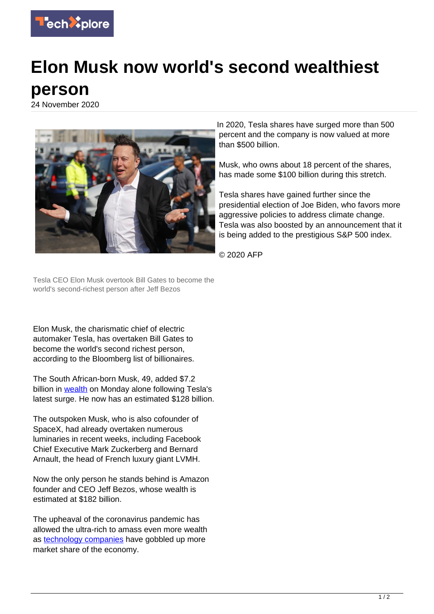

## **Elon Musk now world's second wealthiest person**

24 November 2020



In 2020, Tesla shares have surged more than 500 percent and the company is now valued at more than \$500 billion.

Musk, who owns about 18 percent of the shares, has made some \$100 billion during this stretch.

Tesla shares have gained further since the presidential election of Joe Biden, who favors more aggressive policies to address climate change. Tesla was also boosted by an announcement that it is being added to the prestigious S&P 500 index.

© 2020 AFP

Tesla CEO Elon Musk overtook Bill Gates to become the world's second-richest person after Jeff Bezos

Elon Musk, the charismatic chief of electric automaker Tesla, has overtaken Bill Gates to become the world's second richest person, according to the Bloomberg list of billionaires.

The South African-born Musk, 49, added \$7.2 billion in [wealth](https://techxplore.com/tags/wealth/) on Monday alone following Tesla's latest surge. He now has an estimated \$128 billion.

The outspoken Musk, who is also cofounder of SpaceX, had already overtaken numerous luminaries in recent weeks, including Facebook Chief Executive Mark Zuckerberg and Bernard Arnault, the head of French luxury giant LVMH.

Now the only person he stands behind is Amazon founder and CEO Jeff Bezos, whose wealth is estimated at \$182 billion.

The upheaval of the coronavirus pandemic has allowed the ultra-rich to amass even more wealth as [technology companies](https://techxplore.com/tags/technology+companies/) have gobbled up more market share of the economy.